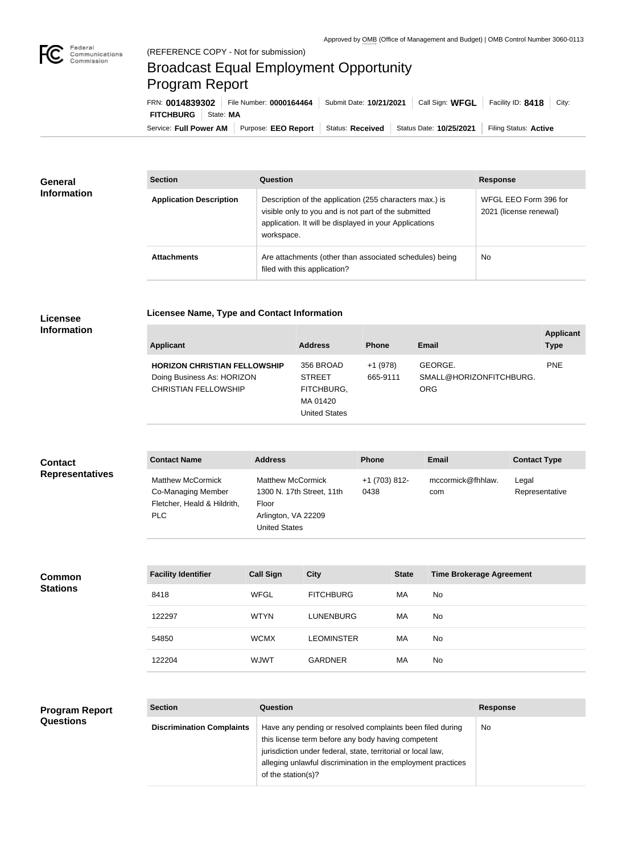

## Broadcast Equal Employment Opportunity Program Report

**Licensee Name, Type and Contact Information**

Service: Full Power AM | Purpose: EEO Report | Status: Received | Status Date: 10/25/2021 | Filing Status: Active **FITCHBURG** State: **MA** FRN: **0014839302** File Number: **0000164464** Submit Date: **10/21/2021** Call Sign: **WFGL** Facility ID: **8418** City:

| <b>General</b><br><b>Information</b> | <b>Section</b>                 | <b>Question</b>                                                                                                                                                                         | <b>Response</b>                                 |
|--------------------------------------|--------------------------------|-----------------------------------------------------------------------------------------------------------------------------------------------------------------------------------------|-------------------------------------------------|
|                                      | <b>Application Description</b> | Description of the application (255 characters max.) is<br>visible only to you and is not part of the submitted<br>application. It will be displayed in your Applications<br>workspace. | WFGL EEO Form 396 for<br>2021 (license renewal) |
|                                      | <b>Attachments</b>             | Are attachments (other than associated schedules) being<br>filed with this application?                                                                                                 | No                                              |

## **Licensee Information**

| <b>Applicant</b>                                                                                 | <b>Address</b>                                                               | <b>Phone</b>          | <b>Email</b>                                     | <b>Applicant</b><br><b>Type</b> |
|--------------------------------------------------------------------------------------------------|------------------------------------------------------------------------------|-----------------------|--------------------------------------------------|---------------------------------|
| <b>HORIZON CHRISTIAN FELLOWSHIP</b><br>Doing Business As: HORIZON<br><b>CHRISTIAN FELLOWSHIP</b> | 356 BROAD<br><b>STREET</b><br>FITCHBURG,<br>MA 01420<br><b>United States</b> | $+1(978)$<br>665-9111 | GEORGE.<br>SMALL@HORIZONFITCHBURG.<br><b>ORG</b> | <b>PNE</b>                      |

| <b>Contact</b>         | <b>Contact Name</b>                                                                  | <b>Address</b>                                                                                                | <b>Phone</b>          | Email                    | <b>Contact Type</b>     |
|------------------------|--------------------------------------------------------------------------------------|---------------------------------------------------------------------------------------------------------------|-----------------------|--------------------------|-------------------------|
| <b>Representatives</b> | <b>Matthew McCormick</b><br>Co-Managing Member<br>Fletcher, Heald & Hildrith,<br>PLC | <b>Matthew McCormick</b><br>1300 N. 17th Street, 11th<br>Floor<br>Arlington, VA 22209<br><b>United States</b> | +1 (703) 812-<br>0438 | mccormick@fhhlaw.<br>com | Legal<br>Representative |

| <b>Common</b><br><b>Stations</b> | <b>Facility Identifier</b> | <b>Call Sign</b> | <b>City</b>       | <b>State</b> | <b>Time Brokerage Agreement</b> |
|----------------------------------|----------------------------|------------------|-------------------|--------------|---------------------------------|
|                                  | 8418                       | <b>WFGL</b>      | <b>FITCHBURG</b>  | МA           | No                              |
|                                  | 122297                     | WTYN             | <b>LUNENBURG</b>  | MA           | No                              |
|                                  | 54850                      | <b>WCMX</b>      | <b>LEOMINSTER</b> | MA           | No                              |
|                                  | 122204                     | <b>WJWT</b>      | <b>GARDNER</b>    | MA           | No                              |

## **Program Report Questions**

| <b>Section</b>                   | Question                                                                                                                                                                                                                                                              | <b>Response</b> |
|----------------------------------|-----------------------------------------------------------------------------------------------------------------------------------------------------------------------------------------------------------------------------------------------------------------------|-----------------|
| <b>Discrimination Complaints</b> | Have any pending or resolved complaints been filed during<br>this license term before any body having competent<br>jurisdiction under federal, state, territorial or local law,<br>alleging unlawful discrimination in the employment practices<br>of the station(s)? | No.             |